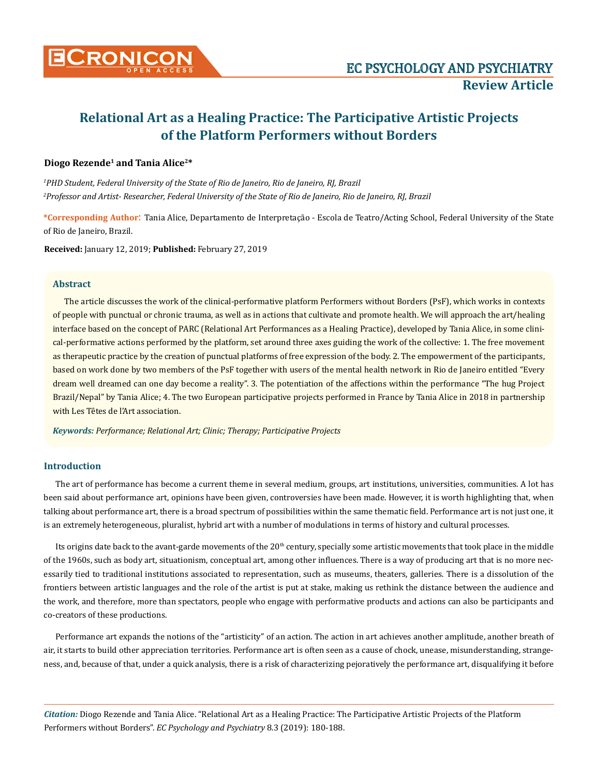

# **Relational Art as a Healing Practice: The Participative Artistic Projects of the Platform Performers without Borders**

# **Diogo Rezende1 and Tania Alice2\***

*1 PHD Student, Federal University of the State of Rio de Janeiro, Rio de Janeiro, RJ, Brazil 2 Professor and Artist- Researcher, Federal University of the State of Rio de Janeiro, Rio de Janeiro, RJ, Brazil*

**\*Corresponding Author**: Tania Alice, Departamento de Interpretação - Escola de Teatro/Acting School, Federal University of the State of Rio de Janeiro, Brazil.

**Received:** January 12, 2019; **Published:** February 27, 2019

# **Abstract**

The article discusses the work of the clinical-performative platform Performers without Borders (PsF), which works in contexts of people with punctual or chronic trauma, as well as in actions that cultivate and promote health. We will approach the art/healing interface based on the concept of PARC (Relational Art Performances as a Healing Practice), developed by Tania Alice, in some clinical-performative actions performed by the platform, set around three axes guiding the work of the collective: 1. The free movement as therapeutic practice by the creation of punctual platforms of free expression of the body. 2. The empowerment of the participants, based on work done by two members of the PsF together with users of the mental health network in Rio de Janeiro entitled "Every dream well dreamed can one day become a reality". 3. The potentiation of the affections within the performance "The hug Project Brazil/Nepal" by Tania Alice; 4. The two European participative projects performed in France by Tania Alice in 2018 in partnership with Les Têtes de l'Art association.

*Keywords: Performance; Relational Art; Clinic; Therapy; Participative Projects*

# **Introduction**

The art of performance has become a current theme in several medium, groups, art institutions, universities, communities. A lot has been said about performance art, opinions have been given, controversies have been made. However, it is worth highlighting that, when talking about performance art, there is a broad spectrum of possibilities within the same thematic field. Performance art is not just one, it is an extremely heterogeneous, pluralist, hybrid art with a number of modulations in terms of history and cultural processes.

Its origins date back to the avant-garde movements of the 20<sup>th</sup> century, specially some artistic movements that took place in the middle of the 1960s, such as body art, situationism, conceptual art, among other influences. There is a way of producing art that is no more necessarily tied to traditional institutions associated to representation, such as museums, theaters, galleries. There is a dissolution of the frontiers between artistic languages and the role of the artist is put at stake, making us rethink the distance between the audience and the work, and therefore, more than spectators, people who engage with performative products and actions can also be participants and co-creators of these productions.

Performance art expands the notions of the "artisticity" of an action. The action in art achieves another amplitude, another breath of air, it starts to build other appreciation territories. Performance art is often seen as a cause of chock, unease, misunderstanding, strangeness, and, because of that, under a quick analysis, there is a risk of characterizing pejoratively the performance art, disqualifying it before

*Citation:* Diogo Rezende and Tania Alice. "Relational Art as a Healing Practice: The Participative Artistic Projects of the Platform Performers without Borders". *EC Psychology and Psychiatry* 8.3 (2019): 180-188.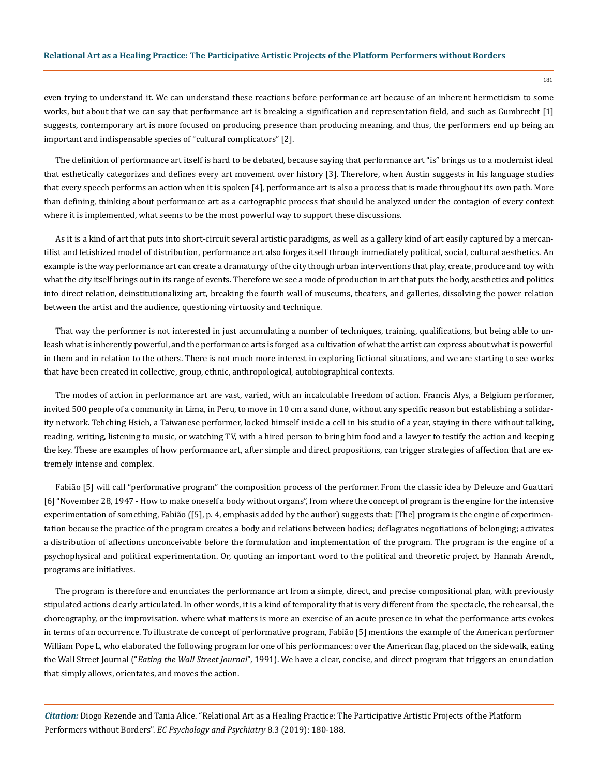### **Relational Art as a Healing Practice: The Participative Artistic Projects of the Platform Performers without Borders**

even trying to understand it. We can understand these reactions before performance art because of an inherent hermeticism to some works, but about that we can say that performance art is breaking a signification and representation field, and such as Gumbrecht [1] suggests, contemporary art is more focused on producing presence than producing meaning, and thus, the performers end up being an important and indispensable species of "cultural complicators" [2].

The definition of performance art itself is hard to be debated, because saying that performance art "is" brings us to a modernist ideal that esthetically categorizes and defines every art movement over history [3]. Therefore, when Austin suggests in his language studies that every speech performs an action when it is spoken [4], performance art is also a process that is made throughout its own path. More than defining, thinking about performance art as a cartographic process that should be analyzed under the contagion of every context where it is implemented, what seems to be the most powerful way to support these discussions.

As it is a kind of art that puts into short-circuit several artistic paradigms, as well as a gallery kind of art easily captured by a mercantilist and fetishized model of distribution, performance art also forges itself through immediately political, social, cultural aesthetics. An example is the way performance art can create a dramaturgy of the city though urban interventions that play, create, produce and toy with what the city itself brings out in its range of events. Therefore we see a mode of production in art that puts the body, aesthetics and politics into direct relation, deinstitutionalizing art, breaking the fourth wall of museums, theaters, and galleries, dissolving the power relation between the artist and the audience, questioning virtuosity and technique.

That way the performer is not interested in just accumulating a number of techniques, training, qualifications, but being able to unleash what is inherently powerful, and the performance arts is forged as a cultivation of what the artist can express about what is powerful in them and in relation to the others. There is not much more interest in exploring fictional situations, and we are starting to see works that have been created in collective, group, ethnic, anthropological, autobiographical contexts.

The modes of action in performance art are vast, varied, with an incalculable freedom of action. Francis Alys, a Belgium performer, invited 500 people of a community in Lima, in Peru, to move in 10 cm a sand dune, without any specific reason but establishing a solidarity network. Tehching Hsieh, a Taiwanese performer, locked himself inside a cell in his studio of a year, staying in there without talking, reading, writing, listening to music, or watching TV, with a hired person to bring him food and a lawyer to testify the action and keeping the key. These are examples of how performance art, after simple and direct propositions, can trigger strategies of affection that are extremely intense and complex.

Fabião [5] will call "performative program" the composition process of the performer. From the classic idea by Deleuze and Guattari [6] "November 28, 1947 - How to make oneself a body without organs", from where the concept of program is the engine for the intensive experimentation of something, Fabião ([5], p. 4, emphasis added by the author) suggests that: [The] program is the engine of experimentation because the practice of the program creates a body and relations between bodies; deflagrates negotiations of belonging; activates a distribution of affections unconceivable before the formulation and implementation of the program. The program is the engine of a psychophysical and political experimentation. Or, quoting an important word to the political and theoretic project by Hannah Arendt, programs are initiatives.

The program is therefore and enunciates the performance art from a simple, direct, and precise compositional plan, with previously stipulated actions clearly articulated. In other words, it is a kind of temporality that is very different from the spectacle, the rehearsal, the choreography, or the improvisation. where what matters is more an exercise of an acute presence in what the performance arts evokes in terms of an occurrence. To illustrate de concept of performative program, Fabião [5] mentions the example of the American performer William Pope L, who elaborated the following program for one of his performances: over the American flag, placed on the sidewalk, eating the Wall Street Journal ("*[Eating the Wall Street Journal](https://www.good.is/articles/eating-the-wall-street-journal)*"*,* 1991). We have a clear, concise, and direct program that triggers an enunciation that simply allows, orientates, and moves the action.

*Citation:* Diogo Rezende and Tania Alice. "Relational Art as a Healing Practice: The Participative Artistic Projects of the Platform Performers without Borders". *EC Psychology and Psychiatry* 8.3 (2019): 180-188.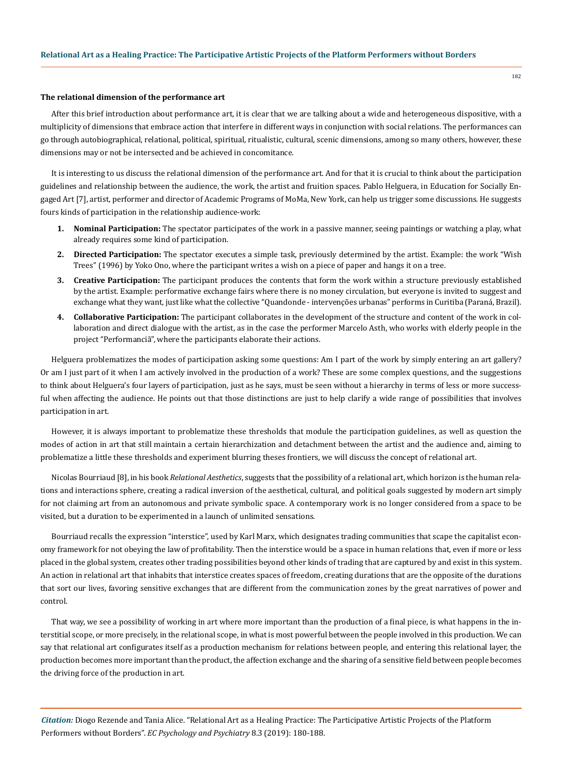#### **The relational dimension of the performance art**

After this brief introduction about performance art, it is clear that we are talking about a wide and heterogeneous dispositive, with a multiplicity of dimensions that embrace action that interfere in different ways in conjunction with social relations. The performances can go through autobiographical, relational, political, spiritual, ritualistic, cultural, scenic dimensions, among so many others, however, these dimensions may or not be intersected and be achieved in concomitance.

It is interesting to us discuss the relational dimension of the performance art. And for that it is crucial to think about the participation guidelines and relationship between the audience, the work, the artist and fruition spaces. Pablo Helguera, in Education for Socially Engaged Art [7], artist, performer and director of Academic Programs of MoMa, New York, can help us trigger some discussions. He suggests fours kinds of participation in the relationship audience-work:

- **1. Nominal Participation:** The spectator participates of the work in a passive manner, seeing paintings or watching a play, what already requires some kind of participation.
- **2. Directed Participation:** The spectator executes a simple task, previously determined by the artist. Example: the work "[Wish](http://imaginepeacetower.com/yoko-onos-wish-trees/) [Trees](http://imaginepeacetower.com/yoko-onos-wish-trees/)" (1996) by Yoko Ono, where the participant writes a wish on a piece of paper and hangs it on a tree.
- **3. Creative Participation:** The participant produces the contents that form the work within a structure previously established by the artist. Example: performative exchange fairs where there is no money circulation, but everyone is invited to suggest and exchange what they want, just like what the collective "[Quandonde - intervenções urbanas"](http://imaginepeacetower.com/yoko-onos-wish-trees/) performs in Curitiba (Paraná, Brazil).
- **4. Collaborative Participation:** The participant collaborates in the development of the structure and content of the work in collaboration and direct dialogue with the artist, as in the case the performer Marcelo Asth, who works with elderly people in the project ["Performanciã](https://www.projetoperformancia.com/)", where the participants elaborate their actions.

Helguera problematizes the modes of participation asking some questions: Am I part of the work by simply entering an art gallery? Or am I just part of it when I am actively involved in the production of a work? These are some complex questions, and the suggestions to think about Helguera's four layers of participation, just as he says, must be seen without a hierarchy in terms of less or more successful when affecting the audience. He points out that those distinctions are just to help clarify a wide range of possibilities that involves participation in art.

However, it is always important to problematize these thresholds that module the participation guidelines, as well as question the modes of action in art that still maintain a certain hierarchization and detachment between the artist and the audience and, aiming to problematize a little these thresholds and experiment blurring theses frontiers, we will discuss the concept of relational art.

Nicolas Bourriaud [8], in his book *Relational Aesthetics*, suggests that the possibility of a relational art, which horizon is the human relations and interactions sphere, creating a radical inversion of the aesthetical, cultural, and political goals suggested by modern art simply for not claiming art from an autonomous and private symbolic space. A contemporary work is no longer considered from a space to be visited, but a duration to be experimented in a launch of unlimited sensations.

Bourriaud recalls the expression "interstice", used by Karl Marx, which designates trading communities that scape the capitalist economy framework for not obeying the law of profitability. Then the interstice would be a space in human relations that, even if more or less placed in the global system, creates other trading possibilities beyond other kinds of trading that are captured by and exist in this system. An action in relational art that inhabits that interstice creates spaces of freedom, creating durations that are the opposite of the durations that sort our lives, favoring sensitive exchanges that are different from the communication zones by the great narratives of power and control.

That way, we see a possibility of working in art where more important than the production of a final piece, is what happens in the interstitial scope, or more precisely, in the relational scope, in what is most powerful between the people involved in this production. We can say that relational art configurates itself as a production mechanism for relations between people, and entering this relational layer, the production becomes more important than the product, the affection exchange and the sharing of a sensitive field between people becomes the driving force of the production in art.

*Citation:* Diogo Rezende and Tania Alice. "Relational Art as a Healing Practice: The Participative Artistic Projects of the Platform Performers without Borders". *EC Psychology and Psychiatry* 8.3 (2019): 180-188.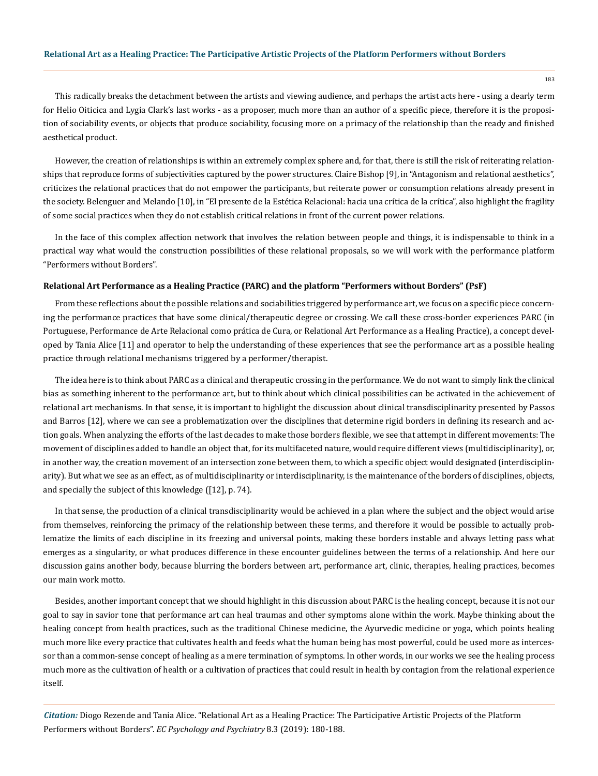This radically breaks the detachment between the artists and viewing audience, and perhaps the artist acts here - using a dearly term for Helio Oiticica and Lygia Clark's last works - as a proposer, much more than an author of a specific piece, therefore it is the proposition of sociability events, or objects that produce sociability, focusing more on a primacy of the relationship than the ready and finished aesthetical product.

However, the creation of relationships is within an extremely complex sphere and, for that, there is still the risk of reiterating relationships that reproduce forms of subjectivities captured by the power structures. Claire Bishop [9], in "Antagonism and relational aesthetics", criticizes the relational practices that do not empower the participants, but reiterate power or consumption relations already present in the society. Belenguer and Melando [10], in "El presente de la Estética Relacional: hacia una crítica de la crítica", also highlight the fragility of some social practices when they do not establish critical relations in front of the current power relations.

In the face of this complex affection network that involves the relation between people and things, it is indispensable to think in a practical way what would the construction possibilities of these relational proposals, so we will work with the performance platform "[Performers without Borders](http://taniaalice.com/performers-sem-fronteiras-chile/)".

### **Relational Art Performance as a Healing Practice (PARC) and the platform "Performers without Borders" (PsF)**

From these reflections about the possible relations and sociabilities triggered by performance art, we focus on a specific piece concerning the performance practices that have some clinical/therapeutic degree or crossing. We call these cross-border experiences PARC (in Portuguese, Performance de Arte Relacional como prática de Cura, or Relational Art Performance as a Healing Practice), a concept developed by Tania Alice [11] and operator to help the understanding of these experiences that see the performance art as a possible healing practice through relational mechanisms triggered by a performer/therapist.

The idea here is to think about PARC as a clinical and therapeutic crossing in the performance. We do not want to simply link the clinical bias as something inherent to the performance art, but to think about which clinical possibilities can be activated in the achievement of relational art mechanisms. In that sense, it is important to highlight the discussion about clinical transdisciplinarity presented by Passos and Barros [12], where we can see a problematization over the disciplines that determine rigid borders in defining its research and action goals. When analyzing the efforts of the last decades to make those borders flexible, we see that attempt in different movements: The movement of disciplines added to handle an object that, for its multifaceted nature, would require different views (multidisciplinarity), or, in another way, the creation movement of an intersection zone between them, to which a specific object would designated (interdisciplinarity). But what we see as an effect, as of multidisciplinarity or interdisciplinarity, is the maintenance of the borders of disciplines, objects, and specially the subject of this knowledge ([12], p. 74).

In that sense, the production of a clinical transdisciplinarity would be achieved in a plan where the subject and the object would arise from themselves, reinforcing the primacy of the relationship between these terms, and therefore it would be possible to actually problematize the limits of each discipline in its freezing and universal points, making these borders instable and always letting pass what emerges as a singularity, or what produces difference in these encounter guidelines between the terms of a relationship. And here our discussion gains another body, because blurring the borders between art, performance art, clinic, therapies, healing practices, becomes our main work motto.

Besides, another important concept that we should highlight in this discussion about PARC is the healing concept, because it is not our goal to say in savior tone that performance art can heal traumas and other symptoms alone within the work. Maybe thinking about the healing concept from health practices, such as the traditional Chinese medicine, the Ayurvedic medicine or yoga, which points healing much more like every practice that cultivates health and feeds what the human being has most powerful, could be used more as intercessor than a common-sense concept of healing as a mere termination of symptoms. In other words, in our works we see the healing process much more as the cultivation of health or a cultivation of practices that could result in health by contagion from the relational experience itself.

*Citation:* Diogo Rezende and Tania Alice. "Relational Art as a Healing Practice: The Participative Artistic Projects of the Platform Performers without Borders". *EC Psychology and Psychiatry* 8.3 (2019): 180-188.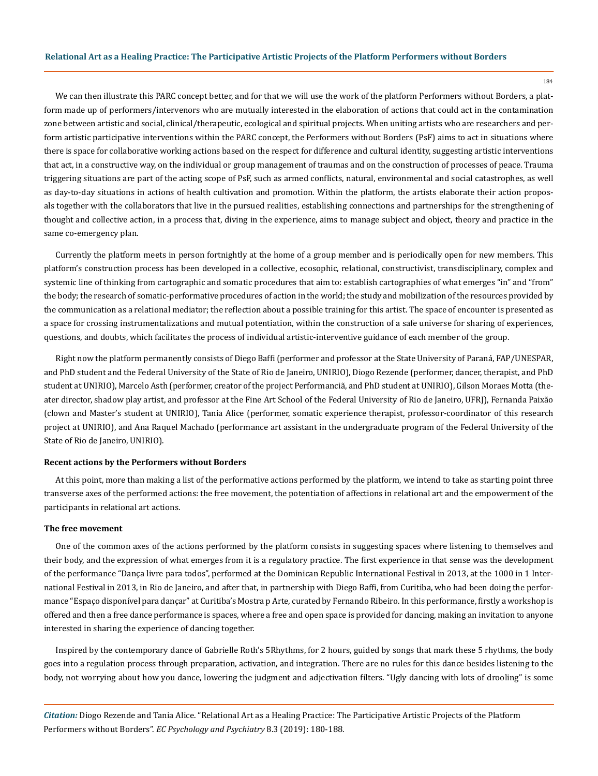We can then illustrate this PARC concept better, and for that we will use the work of the platform Performers without Borders, a platform made up of performers/intervenors who are mutually interested in the elaboration of actions that could act in the contamination zone between artistic and social, clinical/therapeutic, ecological and spiritual projects. When uniting artists who are researchers and perform artistic participative interventions within the PARC concept, the Performers without Borders (PsF) aims to act in situations where there is space for collaborative working actions based on the respect for difference and cultural identity, suggesting artistic interventions that act, in a constructive way, on the individual or group management of traumas and on the construction of processes of peace. Trauma triggering situations are part of the acting scope of PsF, such as armed conflicts, natural, environmental and social catastrophes, as well as day-to-day situations in actions of health cultivation and promotion. Within the platform, the artists elaborate their action proposals together with the collaborators that live in the pursued realities, establishing connections and partnerships for the strengthening of thought and collective action, in a process that, diving in the experience, aims to manage subject and object, theory and practice in the same co-emergency plan.

Currently the platform meets in person fortnightly at the home of a group member and is periodically open for new members. This platform's construction process has been developed in a collective, ecosophic, relational, constructivist, transdisciplinary, complex and systemic line of thinking from cartographic and somatic procedures that aim to: establish cartographies of what emerges "in" and "from" the body; the research of somatic-performative procedures of action in the world; the study and mobilization of the resources provided by the communication as a relational mediator; the reflection about a possible training for this artist. The space of encounter is presented as a space for crossing instrumentalizations and mutual potentiation, within the construction of a safe universe for sharing of experiences, questions, and doubts, which facilitates the process of individual artistic-interventive guidance of each member of the group.

Right now the platform permanently consists of Diego Baffi (performer and professor at the State University of Paraná, FAP/UNESPAR, and PhD student and the Federal University of the State of Rio de Janeiro, UNIRIO), Diogo Rezende (performer, dancer, therapist, and PhD student at UNIRIO), Marcelo Asth (performer, creator of the project Performanciã, and PhD student at UNIRIO), Gilson Moraes Motta (theater director, shadow play artist, and professor at the Fine Art School of the Federal University of Rio de Janeiro, UFRJ), Fernanda Paixão (clown and Master's student at UNIRIO), Tania Alice (performer, somatic experience therapist, professor-coordinator of this research project at UNIRIO), and Ana Raquel Machado (performance art assistant in the undergraduate program of the Federal University of the State of Rio de Janeiro, UNIRIO).

#### **Recent actions by the Performers without Borders**

At this point, more than making a list of the performative actions performed by the platform, we intend to take as starting point three transverse axes of the performed actions: the free movement, the potentiation of affections in relational art and the empowerment of the participants in relational art actions.

## **The free movement**

One of the common axes of the actions performed by the platform consists in suggesting spaces where listening to themselves and their body, and the expression of what emerges from it is a regulatory practice. The first experience in that sense was the development of the performance ["Dança livre para todos](http://taniaalice.com/danca-livre-para-todos/)", performed at the Dominican Republic International Festival in 2013, at the 1000 in 1 International Festival in 2013, in Rio de Janeiro, and after that, in partnership with Diego Baffi, from Curitiba, who had been doing the performance "[Espaço disponível para dançar"](https://www.quandonde.com.br/espaco-disponivel-para-dancar) at Curitiba's Mostra p Arte, curated by Fernando Ribeiro. In this performance, firstly a workshop is offered and then a free dance performance is spaces, where a free and open space is provided for dancing, making an invitation to anyone interested in sharing the experience of dancing together.

Inspired by the contemporary dance of Gabrielle Roth's [5Rhythms,](https://www.5rhythms.com/) for 2 hours, guided by songs that mark these 5 rhythms, the body goes into a regulation process through preparation, activation, and integration. There are no rules for this dance besides listening to the body, not worrying about how you dance, lowering the judgment and adjectivation filters. "Ugly dancing with lots of drooling" is some

*Citation:* Diogo Rezende and Tania Alice. "Relational Art as a Healing Practice: The Participative Artistic Projects of the Platform Performers without Borders". *EC Psychology and Psychiatry* 8.3 (2019): 180-188.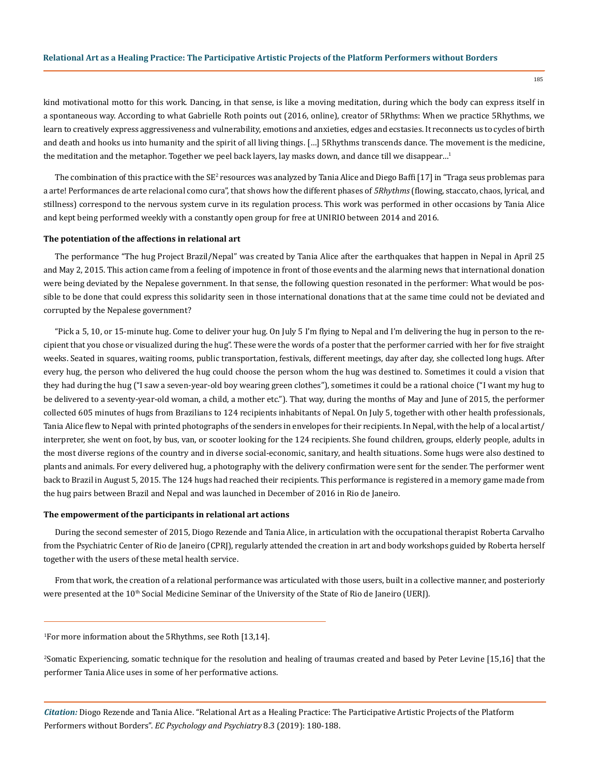kind motivational motto for this work. Dancing, in that sense, is like a moving meditation, during which the body can express itself in a spontaneous way. According to what Gabrielle Roth points out (2016, [online\)](https://www.5rhythms.com/gabrielle-roths-5rhythms/), creator of 5Rhythms: When we practice 5Rhythms, we learn to creatively express aggressiveness and vulnerability, emotions and anxieties, edges and ecstasies. It reconnects us to cycles of birth and death and hooks us into humanity and the spirit of all living things. […] 5Rhythms transcends dance. The movement is the medicine, the meditation and the metaphor. Together we peel back layers, lay masks down, and dance till we disappear...<sup>1</sup>

The combination of this practice with the SE<sup>2</sup> resources was analyzed by Tania Alice and Diego Baffi [17] in "Traga seus problemas para a arte! Performances de arte relacional como cura", that shows how the different phases of *5Rhythms* (flowing, staccato, chaos, lyrical, and stillness) correspond to the nervous system curve in its regulation process. This work was performed in other occasions by Tania Alice and kept being performed weekly with a constantly open group for free at UNIRIO between 2014 and 2016.

## **The potentiation of the affections in relational art**

The performance "The hug Project Brazil/Nepal" was created by Tania Alice after the earthquakes that happen in Nepal in April 25 and May 2, 2015. This action came from a feeling of impotence in front of those events and the alarming news that international donation were being deviated by the Nepalese government. In that sense, the following question resonated in the performer: What would be possible to be done that could express this solidarity seen in those international donations that at the same time could not be deviated and corrupted by the Nepalese government?

"Pick a 5, 10, or 15-minute hug. Come to deliver your hug. On July 5 I'm flying to Nepal and I'm delivering the hug in person to the recipient that you chose or visualized during the hug". These were the words of a poster that the performer carried with her for five straight weeks. Seated in squares, waiting rooms, public transportation, festivals, different meetings, day after day, she collected long hugs. After every hug, the person who delivered the hug could choose the person whom the hug was destined to. Sometimes it could a vision that they had during the hug ("I saw a seven-year-old boy wearing green clothes"), sometimes it could be a rational choice ("I want my hug to be delivered to a seventy-year-old woman, a child, a mother etc."). That way, during the months of May and June of 2015, the performer collected 605 minutes of hugs from Brazilians to 124 recipients inhabitants of Nepal. On July 5, together with other health professionals, Tania Alice flew to Nepal with printed photographs of the senders in envelopes for their recipients. In Nepal, with the help of a local artist/ interpreter, she went on foot, by bus, van, or scooter looking for the 124 recipients. She found children, groups, elderly people, adults in the most diverse regions of the country and in diverse social-economic, sanitary, and health situations. Some hugs were also destined to plants and animals. For every delivered hug, a photography with the delivery confirmation were sent for the sender. The performer went back to Brazil in August 5, 2015. The 124 hugs had reached their recipients. This performance is registered in a memory game made from the hug pairs between Brazil and Nepal and was launched in December of 2016 in Rio de Janeiro.

# **The empowerment of the participants in relational art actions**

During the second semester of 2015, Diogo Rezende and Tania Alice, in articulation with the occupational therapist Roberta Carvalho from the Psychiatric Center of Rio de Janeiro (CPRJ), regularly attended the creation in art and body workshops guided by Roberta herself together with the users of these metal health service.

From that work, the creation of a relational performance was articulated with those users, built in a collective manner, and posteriorly were presented at the 10<sup>th</sup> Social Medicine Seminar of the University of the State of Rio de Janeiro (UERJ).

1 For more information about the 5Rhythms, see Roth [13,14].

2 Somatic Experiencing, somatic technique for the resolution and healing of traumas created and based by Peter Levine [15,16] that the performer Tania Alice uses in some of her performative actions.

*Citation:* Diogo Rezende and Tania Alice. "Relational Art as a Healing Practice: The Participative Artistic Projects of the Platform Performers without Borders". *EC Psychology and Psychiatry* 8.3 (2019): 180-188.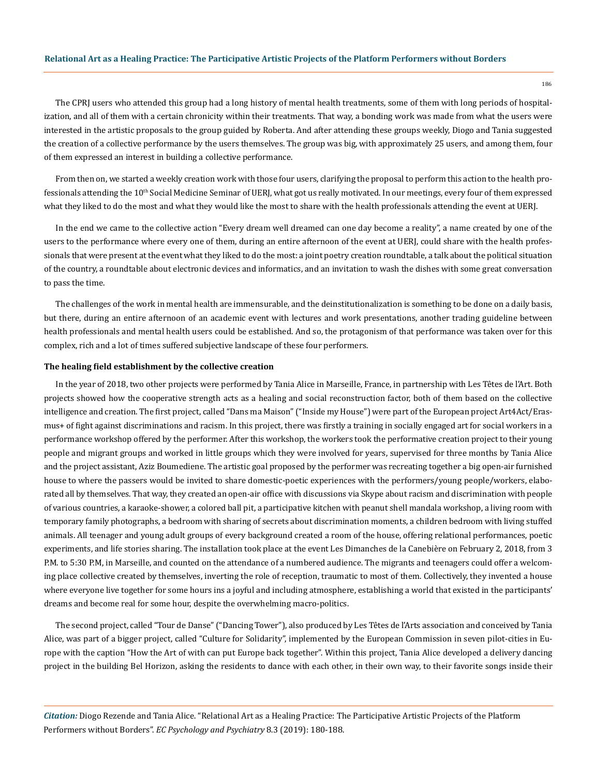### **Relational Art as a Healing Practice: The Participative Artistic Projects of the Platform Performers without Borders**

The CPRJ users who attended this group had a long history of mental health treatments, some of them with long periods of hospitalization, and all of them with a certain chronicity within their treatments. That way, a bonding work was made from what the users were interested in the artistic proposals to the group guided by Roberta. And after attending these groups weekly, Diogo and Tania suggested the creation of a collective performance by the users themselves. The group was big, with approximately 25 users, and among them, four of them expressed an interest in building a collective performance.

From then on, we started a weekly creation work with those four users, clarifying the proposal to perform this action to the health professionals attending the  $10<sup>th</sup>$  Social Medicine Seminar of UERJ, what got us really motivated. In our meetings, every four of them expressed what they liked to do the most and what they would like the most to share with the health professionals attending the event at UERJ.

In the end we came to the collective action "[Every dream well dreamed can one day become a reality](http://taniaalice.com/todo-sonho-bem-sonhado-pode-um-dia-virar-realidade/)", a name created by one of the users to the performance where every one of them, during an entire afternoon of the event at UERJ, could share with the health professionals that were present at the event what they liked to do the most: a joint poetry creation roundtable, a talk about the political situation of the country, a roundtable about electronic devices and informatics, and an invitation to wash the dishes with some great conversation to pass the time.

The challenges of the work in mental health are immensurable, and the deinstitutionalization is something to be done on a daily basis, but there, during an entire afternoon of an academic event with lectures and work presentations, another trading guideline between health professionals and mental health users could be established. And so, the protagonism of that performance was taken over for this complex, rich and a lot of times suffered subjective landscape of these four performers.

#### **The healing field establishment by the collective creation**

In the year of 2018, two other projects were performed by Tania Alice in Marseille, France, in partnership with Les Têtes de l'Art. Both projects showed how the cooperative strength acts as a healing and social reconstruction factor, both of them based on the collective intelligence and creation. The first project, called "Dans ma Maison" ("Inside my House") were part of the European project Art4Act/Erasmus+ of fight against discriminations and racism. In this project, there was firstly a training in socially engaged art for social workers in a performance workshop offered by the performer. After this workshop, the workers took the performative creation project to their young people and migrant groups and worked in little groups which they were involved for years, supervised for three months by Tania Alice and the project assistant, Aziz Boumediene. The artistic goal proposed by the performer was recreating together a big open-air furnished house to where the passers would be invited to share domestic-poetic experiences with the performers/young people/workers, elaborated all by themselves. That way, they created an open-air office with discussions via Skype about racism and discrimination with people of various countries, a karaoke-shower, a colored ball pit, a participative kitchen with peanut shell mandala workshop, a living room with temporary family photographs, a bedroom with sharing of secrets about discrimination moments, a children bedroom with living stuffed animals. All teenager and young adult groups of every background created a room of the house, offering relational performances, poetic experiments, and life stories sharing. The installation took place at the event Les Dimanches de la Canebière on February 2, 2018, from 3 P.M. to 5:30 P.M, in Marseille, and counted on the attendance of a numbered audience. The migrants and teenagers could offer a welcoming place collective created by themselves, inverting the role of reception, traumatic to most of them. Collectively, they invented a house where everyone live together for some hours ins a joyful and including atmosphere, establishing a world that existed in the participants' dreams and become real for some hour, despite the overwhelming macro-politics.

The second project, called "Tour de Danse" ("Dancing Tower"), also produced by Les Têtes de l'Arts association and conceived by Tania Alice, was part of a bigger project, called "Culture for Solidarity", implemented by the European Commission in seven pilot-cities in Europe with the caption "How the Art of with can put Europe back together". Within this project, Tania Alice developed a delivery dancing project in the building Bel Horizon, asking the residents to dance with each other, in their own way, to their favorite songs inside their

*Citation:* Diogo Rezende and Tania Alice. "Relational Art as a Healing Practice: The Participative Artistic Projects of the Platform Performers without Borders". *EC Psychology and Psychiatry* 8.3 (2019): 180-188.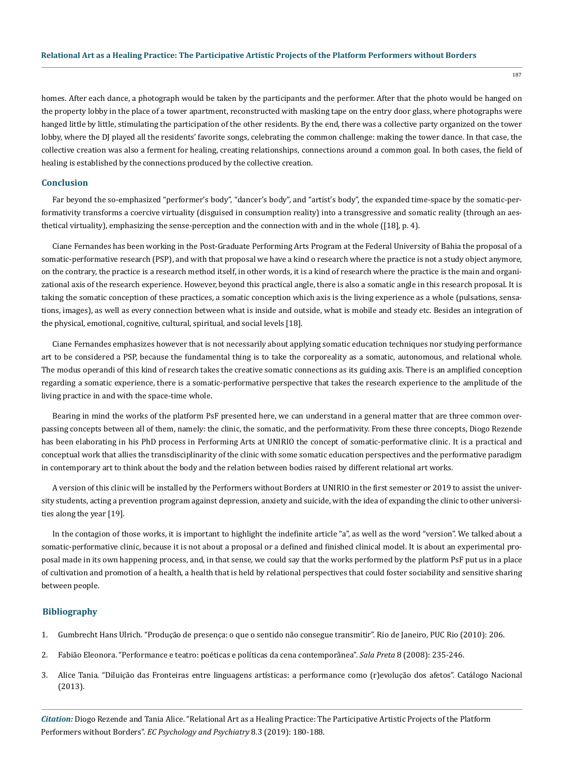homes. After each dance, a photograph would be taken by the participants and the performer. After that the photo would be hanged on the property lobby in the place of a tower apartment, reconstructed with masking tape on the entry door glass, where photographs were hanged little by little, stimulating the participation of the other residents. By the end, there was a collective party organized on the tower lobby, where the DJ played all the residents' favorite songs, celebrating the common challenge: making the tower dance. In that case, the collective creation was also a ferment for healing, creating relationships, connections around a common goal. In both cases, the field of healing is established by the connections produced by the collective creation.

# **Conclusion**

Far beyond the so-emphasized "performer's body", "dancer's body", and "artist's body", the expanded time-space by the somatic-performativity transforms a coercive virtuality (disguised in consumption reality) into a transgressive and somatic reality (through an aesthetical virtuality), emphasizing the sense-perception and the connection with and in the whole ([18], p. 4).

Ciane Fernandes has been working in the Post-Graduate Performing Arts Program at the Federal University of Bahia the proposal of a somatic-performative research (PSP), and with that proposal we have a kind o research where the practice is not a study object anymore, on the contrary, the practice is a research method itself, in other words, it is a kind of research where the practice is the main and organizational axis of the research experience. However, beyond this practical angle, there is also a somatic angle in this research proposal. It is taking the somatic conception of these practices, a somatic conception which axis is the living experience as a whole (pulsations, sensations, images), as well as every connection between what is inside and outside, what is mobile and steady etc. Besides an integration of the physical, emotional, cognitive, cultural, spiritual, and social levels [18].

Ciane Fernandes emphasizes however that is not necessarily about applying somatic education techniques nor studying performance art to be considered a PSP, because the fundamental thing is to take the corporeality as a somatic, autonomous, and relational whole. The modus operandi of this kind of research takes the creative somatic connections as its guiding axis. There is an amplified conception regarding a somatic experience, there is a somatic-performative perspective that takes the research experience to the amplitude of the living practice in and with the space-time whole.

Bearing in mind the works of the platform PsF presented here, we can understand in a general matter that are three common overpassing concepts between all of them, namely: the clinic, the somatic, and the performativity. From these three concepts, Diogo Rezende has been elaborating in his PhD process in Performing Arts at UNIRIO the concept of somatic-performative clinic. It is a practical and conceptual work that allies the transdisciplinarity of the clinic with some somatic education perspectives and the performative paradigm in contemporary art to think about the body and the relation between bodies raised by different relational art works.

A version of this clinic will be installed by the Performers without Borders at UNIRIO in the first semester or 2019 to assist the university students, acting a prevention program against depression, anxiety and suicide, with the idea of expanding the clinic to other universities along the year [19].

In the contagion of those works, it is important to highlight the indefinite article "a", as well as the word "version". We talked about a somatic-performative clinic, because it is not about a proposal or a defined and finished clinical model. It is about an experimental proposal made in its own happening process, and, in that sense, we could say that the works performed by the platform PsF put us in a place of cultivation and promotion of a health, a health that is held by relational perspectives that could foster sociability and sensitive sharing between people.

# **Bibliography**

- 1. Gumbrecht Hans Ulrich. "Produção de presença: o que o sentido não consegue transmitir". Rio de Janeiro, PUC Rio (2010): 206.
- 2. [Fabião Eleonora. "Performance e teatro: poéticas e políticas da cena contemporânea".](http://www.revistas.usp.br/salapreta/article/view/57373) *Sala Preta* 8 (2008): 235-246.
- 3. [Alice Tania. "Diluição das Fronteiras entre linguagens artísticas: a performance como \(r\)evolução dos afetos". Catálogo Nacional](https://www.academia.edu/31302737/Diluic_a_o_das_fronteiras_entre_linguagens_arti_sticas_a_performance_como_r_evoluc_a_o_dos_afetos)  [\(2013\).](https://www.academia.edu/31302737/Diluic_a_o_das_fronteiras_entre_linguagens_arti_sticas_a_performance_como_r_evoluc_a_o_dos_afetos)

*Citation:* Diogo Rezende and Tania Alice. "Relational Art as a Healing Practice: The Participative Artistic Projects of the Platform Performers without Borders". *EC Psychology and Psychiatry* 8.3 (2019): 180-188.